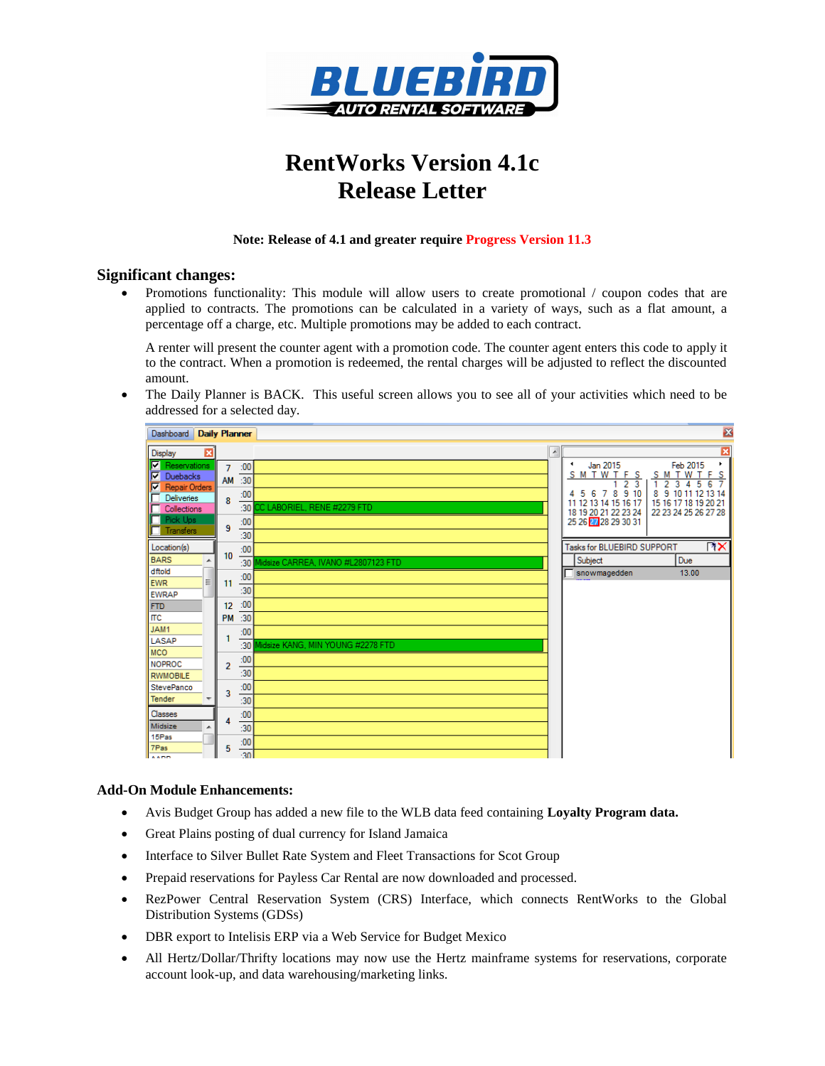

# **RentWorks Version 4.1c Release Letter**

### **Note: Release of 4.1 and greater require Progress Version 11.3**

## **Significant changes:**

 Promotions functionality: This module will allow users to create promotional / coupon codes that are applied to contracts. The promotions can be calculated in a variety of ways, such as a flat amount, a percentage off a charge, etc. Multiple promotions may be added to each contract.

A renter will present the counter agent with a promotion code. The counter agent enters this code to apply it to the contract. When a promotion is redeemed, the rental charges will be adjusted to reflect the discounted amount.

 The Daily Planner is BACK. This useful screen allows you to see all of your activities which need to be addressed for a selected day.



### **Add-On Module Enhancements:**

- Avis Budget Group has added a new file to the WLB data feed containing **Loyalty Program data.**
- Great Plains posting of dual currency for Island Jamaica
- Interface to Silver Bullet Rate System and Fleet Transactions for Scot Group
- Prepaid reservations for Payless Car Rental are now downloaded and processed.
- RezPower Central Reservation System (CRS) Interface, which connects RentWorks to the Global Distribution Systems (GDSs)
- DBR export to Intelisis ERP via a Web Service for Budget Mexico
- All Hertz/Dollar/Thrifty locations may now use the Hertz mainframe systems for reservations, corporate account look-up, and data warehousing/marketing links.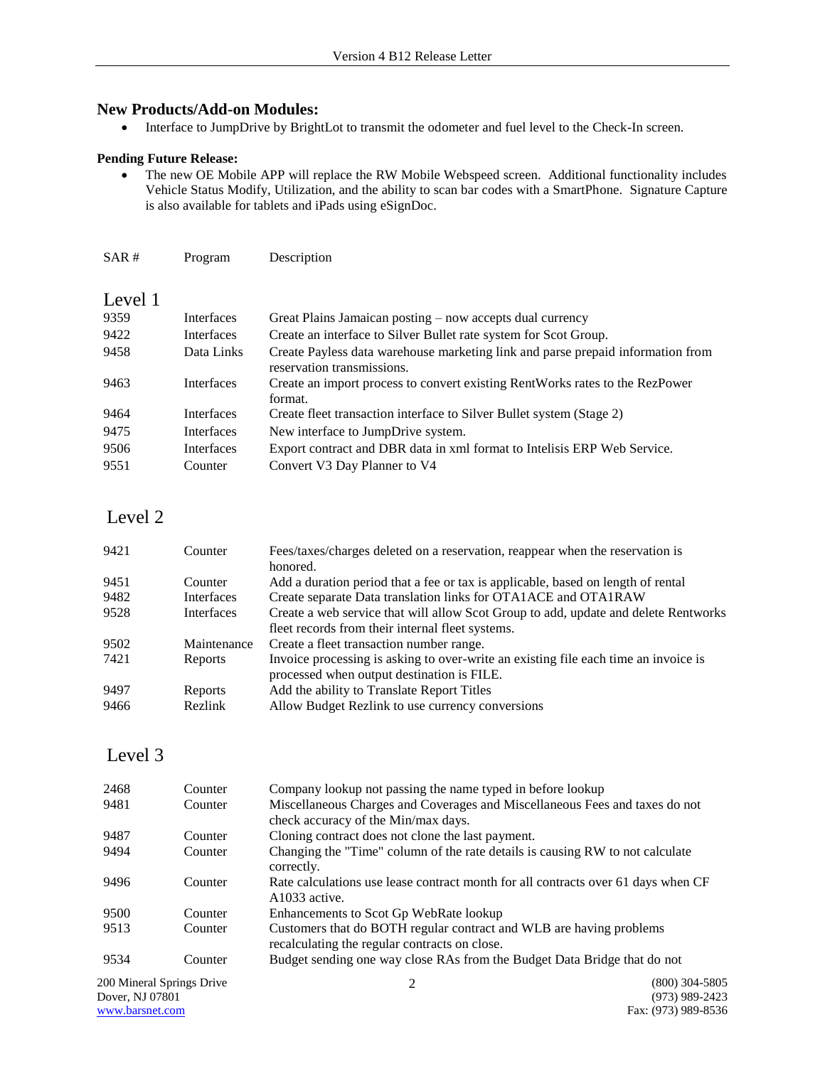## **New Products/Add-on Modules:**

Interface to JumpDrive by BrightLot to transmit the odometer and fuel level to the Check-In screen.

#### **Pending Future Release:**

 The new OE Mobile APP will replace the RW Mobile Webspeed screen. Additional functionality includes Vehicle Status Modify, Utilization, and the ability to scan bar codes with a SmartPhone. Signature Capture is also available for tablets and iPads using eSignDoc.

| SAR#    | Program    | Description                                                                                                   |
|---------|------------|---------------------------------------------------------------------------------------------------------------|
|         |            |                                                                                                               |
| Level 1 |            |                                                                                                               |
| 9359    | Interfaces | Great Plains Jamaican posting – now accepts dual currency                                                     |
| 9422    | Interfaces | Create an interface to Silver Bullet rate system for Scot Group.                                              |
| 9458    | Data Links | Create Payless data warehouse marketing link and parse prepaid information from<br>reservation transmissions. |
| 9463    | Interfaces | Create an import process to convert existing RentWorks rates to the RezPower<br>format.                       |
| 9464    | Interfaces | Create fleet transaction interface to Silver Bullet system (Stage 2)                                          |
| 9475    | Interfaces | New interface to JumpDrive system.                                                                            |
| 9506    | Interfaces | Export contract and DBR data in xml format to Intelisis ERP Web Service.                                      |
| 9551    | Counter    | Convert V3 Day Planner to V4                                                                                  |

# Level 2

| 9421 | Counter     | Fees/taxes/charges deleted on a reservation, reappear when the reservation is       |
|------|-------------|-------------------------------------------------------------------------------------|
|      |             | honored.                                                                            |
| 9451 | Counter     | Add a duration period that a fee or tax is applicable, based on length of rental    |
| 9482 | Interfaces  | Create separate Data translation links for OTA1ACE and OTA1RAW                      |
| 9528 | Interfaces  | Create a web service that will allow Scot Group to add, update and delete Rentworks |
|      |             | fleet records from their internal fleet systems.                                    |
| 9502 | Maintenance | Create a fleet transaction number range.                                            |
| 7421 | Reports     | Invoice processing is asking to over-write an existing file each time an invoice is |
|      |             | processed when output destination is FILE.                                          |
| 9497 | Reports     | Add the ability to Translate Report Titles                                          |
| 9466 | Rezlink     | Allow Budget Rezlink to use currency conversions                                    |

# Level 3

| 2468                                         | Counter | Company lookup not passing the name typed in before lookup                                                           |                                      |
|----------------------------------------------|---------|----------------------------------------------------------------------------------------------------------------------|--------------------------------------|
| 9481                                         | Counter | Miscellaneous Charges and Coverages and Miscellaneous Fees and taxes do not<br>check accuracy of the Min/max days.   |                                      |
| 9487                                         | Counter | Cloning contract does not clone the last payment.                                                                    |                                      |
| 9494                                         | Counter | Changing the "Time" column of the rate details is causing RW to not calculate<br>correctly.                          |                                      |
| 9496                                         | Counter | Rate calculations use lease contract month for all contracts over 61 days when CF<br>A1033 active.                   |                                      |
| 9500                                         | Counter | Enhancements to Scot Gp WebRate lookup                                                                               |                                      |
| 9513                                         | Counter | Customers that do BOTH regular contract and WLB are having problems<br>recalculating the regular contracts on close. |                                      |
| 9534                                         | Counter | Budget sending one way close RAs from the Budget Data Bridge that do not                                             |                                      |
| 200 Mineral Springs Drive<br>Dover, NJ 07801 |         |                                                                                                                      | $(800)$ 304-5805<br>$(973)$ 989-2423 |